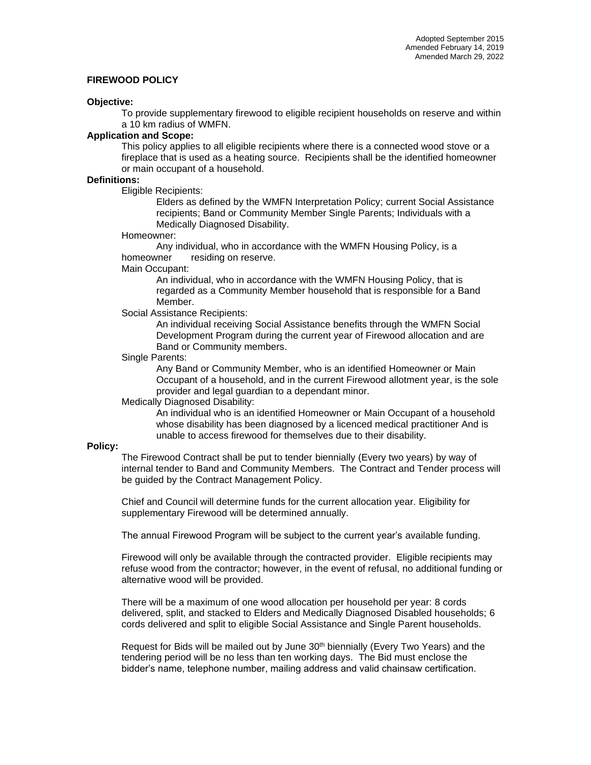# **FIREWOOD POLICY**

#### **Objective:**

To provide supplementary firewood to eligible recipient households on reserve and within a 10 km radius of WMFN.

#### **Application and Scope:**

This policy applies to all eligible recipients where there is a connected wood stove or a fireplace that is used as a heating source. Recipients shall be the identified homeowner or main occupant of a household.

## **Definitions:**

Eligible Recipients:

Elders as defined by the WMFN Interpretation Policy; current Social Assistance recipients; Band or Community Member Single Parents; Individuals with a Medically Diagnosed Disability.

#### Homeowner:

Any individual, who in accordance with the WMFN Housing Policy, is a homeowner residing on reserve.

#### Main Occupant:

An individual, who in accordance with the WMFN Housing Policy, that is regarded as a Community Member household that is responsible for a Band Member.

## Social Assistance Recipients:

An individual receiving Social Assistance benefits through the WMFN Social Development Program during the current year of Firewood allocation and are Band or Community members.

#### Single Parents:

Any Band or Community Member, who is an identified Homeowner or Main Occupant of a household, and in the current Firewood allotment year, is the sole provider and legal guardian to a dependant minor.

## Medically Diagnosed Disability:

An individual who is an identified Homeowner or Main Occupant of a household whose disability has been diagnosed by a licenced medical practitioner And is unable to access firewood for themselves due to their disability.

## **Policy:**

The Firewood Contract shall be put to tender biennially (Every two years) by way of internal tender to Band and Community Members. The Contract and Tender process will be guided by the Contract Management Policy.

Chief and Council will determine funds for the current allocation year. Eligibility for supplementary Firewood will be determined annually.

The annual Firewood Program will be subject to the current year's available funding.

Firewood will only be available through the contracted provider. Eligible recipients may refuse wood from the contractor; however, in the event of refusal, no additional funding or alternative wood will be provided.

There will be a maximum of one wood allocation per household per year: 8 cords delivered, split, and stacked to Elders and Medically Diagnosed Disabled households; 6 cords delivered and split to eligible Social Assistance and Single Parent households.

Request for Bids will be mailed out by June 30th biennially (Every Two Years) and the tendering period will be no less than ten working days. The Bid must enclose the bidder's name, telephone number, mailing address and valid chainsaw certification.